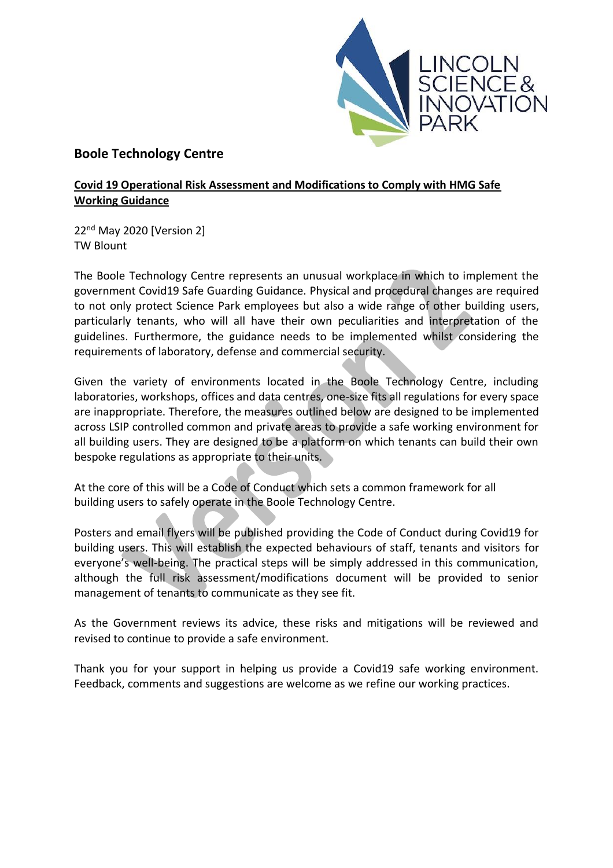

# **Boole Technology Centre**

## **Covid 19 Operational Risk Assessment and Modifications to Comply with HMG Safe Working Guidance**

22nd May 2020 [Version 2] TW Blount

The Boole Technology Centre represents an unusual workplace in which to implement the government Covid19 Safe Guarding Guidance. Physical and procedural changes are required to not only protect Science Park employees but also a wide range of other building users, particularly tenants, who will all have their own peculiarities and interpretation of the guidelines. Furthermore, the guidance needs to be implemented whilst considering the requirements of laboratory, defense and commercial security.

Given the variety of environments located in the Boole Technology Centre, including laboratories, workshops, offices and data centres, one-size fits all regulations for every space are inappropriate. Therefore, the measures outlined below are designed to be implemented across LSIP controlled common and private areas to provide a safe working environment for all building users. They are designed to be a platform on which tenants can build their own bespoke regulations as appropriate to their units.

At the core of this will be a Code of Conduct which sets a common framework for all building users to safely operate in the Boole Technology Centre.

Posters and email flyers will be published providing the Code of Conduct during Covid19 for building users. This will establish the expected behaviours of staff, tenants and visitors for everyone's well-being. The practical steps will be simply addressed in this communication, although the full risk assessment/modifications document will be provided to senior management of tenants to communicate as they see fit.

As the Government reviews its advice, these risks and mitigations will be reviewed and revised to continue to provide a safe environment.

Thank you for your support in helping us provide a Covid19 safe working environment. Feedback, comments and suggestions are welcome as we refine our working practices.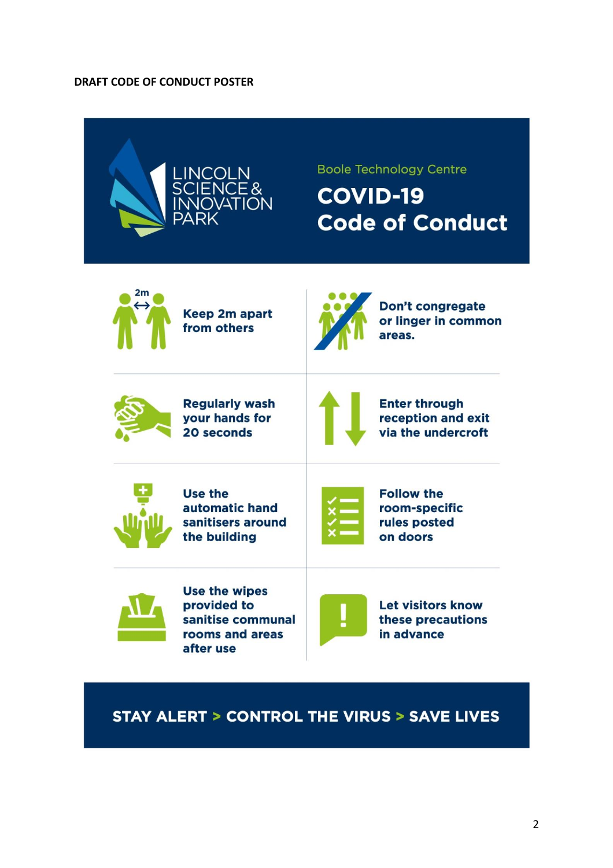#### **DRAFT CODE OF CONDUCT POSTER**



# **STAY ALERT > CONTROL THE VIRUS > SAVE LIVES**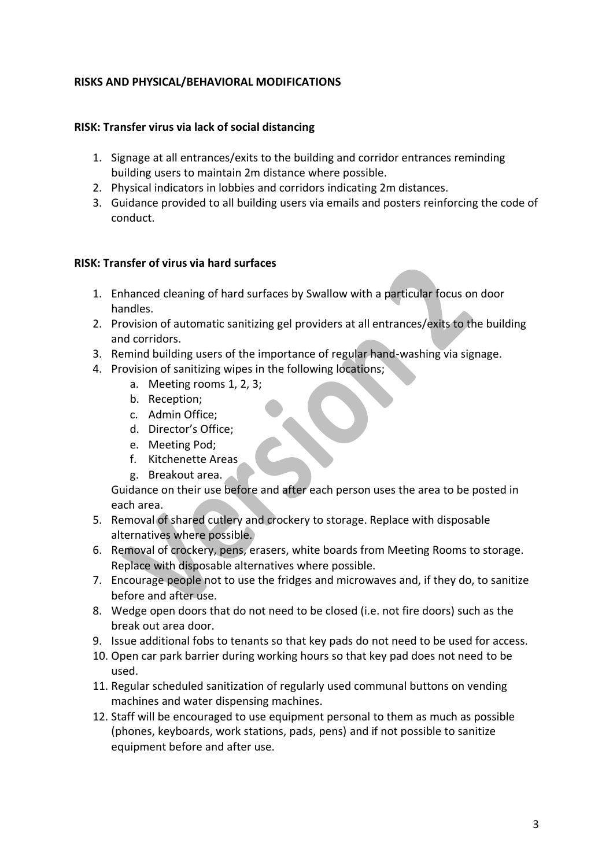### **RISKS AND PHYSICAL/BEHAVIORAL MODIFICATIONS**

### **RISK: Transfer virus via lack of social distancing**

- 1. Signage at all entrances/exits to the building and corridor entrances reminding building users to maintain 2m distance where possible.
- 2. Physical indicators in lobbies and corridors indicating 2m distances.
- 3. Guidance provided to all building users via emails and posters reinforcing the code of conduct.

#### **RISK: Transfer of virus via hard surfaces**

- 1. Enhanced cleaning of hard surfaces by Swallow with a particular focus on door handles.
- 2. Provision of automatic sanitizing gel providers at all entrances/exits to the building and corridors.
- 3. Remind building users of the importance of regular hand-washing via signage.
- 4. Provision of sanitizing wipes in the following locations;
	- a. Meeting rooms 1, 2, 3;
	- b. Reception;
	- c. Admin Office;
	- d. Director's Office;
	- e. Meeting Pod;
	- f. Kitchenette Areas
	- g. Breakout area.

Guidance on their use before and after each person uses the area to be posted in each area.

- 5. Removal of shared cutlery and crockery to storage. Replace with disposable alternatives where possible.
- 6. Removal of crockery, pens, erasers, white boards from Meeting Rooms to storage. Replace with disposable alternatives where possible.
- 7. Encourage people not to use the fridges and microwaves and, if they do, to sanitize before and after use.
- 8. Wedge open doors that do not need to be closed (i.e. not fire doors) such as the break out area door.
- 9. Issue additional fobs to tenants so that key pads do not need to be used for access.
- 10. Open car park barrier during working hours so that key pad does not need to be used.
- 11. Regular scheduled sanitization of regularly used communal buttons on vending machines and water dispensing machines.
- 12. Staff will be encouraged to use equipment personal to them as much as possible (phones, keyboards, work stations, pads, pens) and if not possible to sanitize equipment before and after use.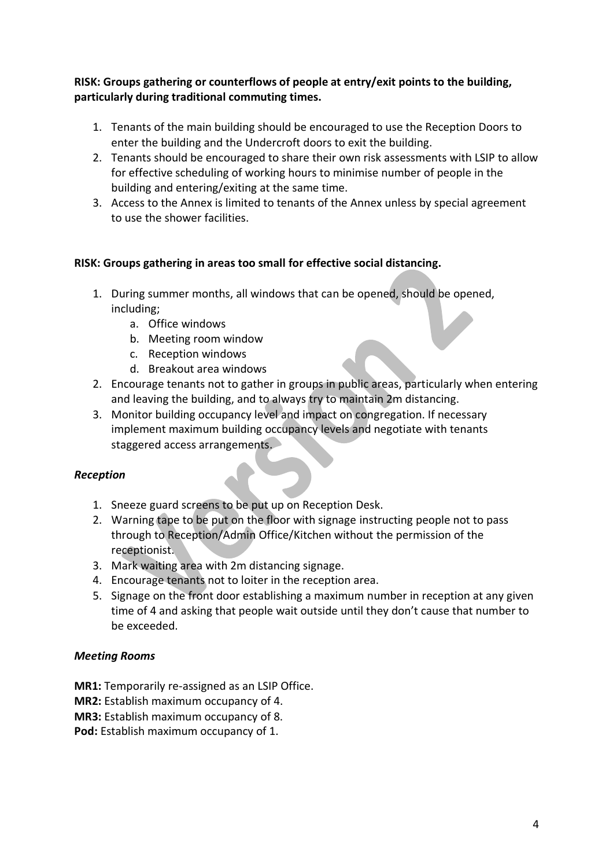# **RISK: Groups gathering or counterflows of people at entry/exit points to the building, particularly during traditional commuting times.**

- 1. Tenants of the main building should be encouraged to use the Reception Doors to enter the building and the Undercroft doors to exit the building.
- 2. Tenants should be encouraged to share their own risk assessments with LSIP to allow for effective scheduling of working hours to minimise number of people in the building and entering/exiting at the same time.
- 3. Access to the Annex is limited to tenants of the Annex unless by special agreement to use the shower facilities.

# **RISK: Groups gathering in areas too small for effective social distancing.**

- 1. During summer months, all windows that can be opened, should be opened, including;
	- a. Office windows
	- b. Meeting room window
	- c. Reception windows
	- d. Breakout area windows
- 2. Encourage tenants not to gather in groups in public areas, particularly when entering and leaving the building, and to always try to maintain 2m distancing.
- 3. Monitor building occupancy level and impact on congregation. If necessary implement maximum building occupancy levels and negotiate with tenants staggered access arrangements.

# *Reception*

- 1. Sneeze guard screens to be put up on Reception Desk.
- 2. Warning tape to be put on the floor with signage instructing people not to pass through to Reception/Admin Office/Kitchen without the permission of the receptionist.
- 3. Mark waiting area with 2m distancing signage.
- 4. Encourage tenants not to loiter in the reception area.
- 5. Signage on the front door establishing a maximum number in reception at any given time of 4 and asking that people wait outside until they don't cause that number to be exceeded.

### *Meeting Rooms*

- **MR1:** Temporarily re-assigned as an LSIP Office.
- **MR2:** Establish maximum occupancy of 4.
- **MR3:** Establish maximum occupancy of 8.
- **Pod:** Establish maximum occupancy of 1.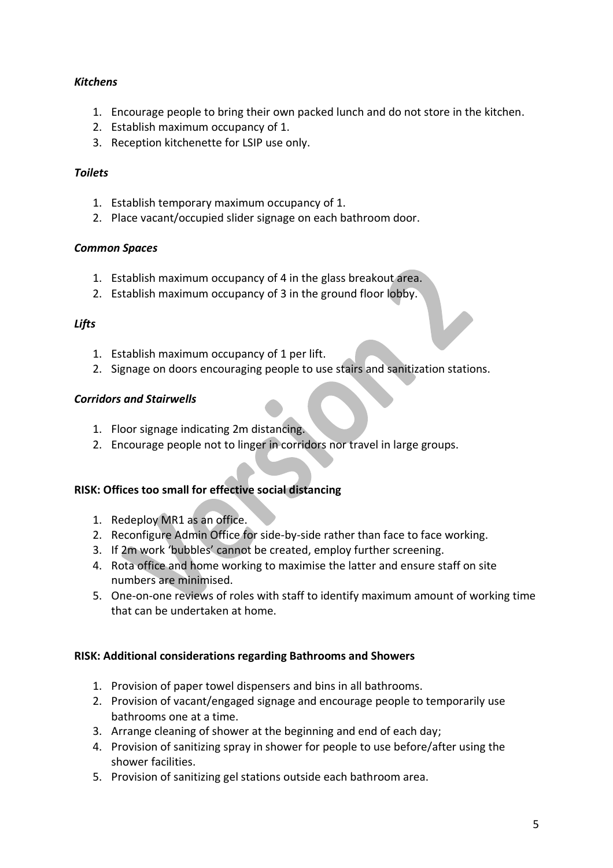# *Kitchens*

- 1. Encourage people to bring their own packed lunch and do not store in the kitchen.
- 2. Establish maximum occupancy of 1.
- 3. Reception kitchenette for LSIP use only.

## *Toilets*

- 1. Establish temporary maximum occupancy of 1.
- 2. Place vacant/occupied slider signage on each bathroom door.

### *Common Spaces*

- 1. Establish maximum occupancy of 4 in the glass breakout area.
- 2. Establish maximum occupancy of 3 in the ground floor lobby.

### *Lifts*

- 1. Establish maximum occupancy of 1 per lift.
- 2. Signage on doors encouraging people to use stairs and sanitization stations.

#### *Corridors and Stairwells*

- 1. Floor signage indicating 2m distancing.
- 2. Encourage people not to linger in corridors nor travel in large groups.

### **RISK: Offices too small for effective social distancing**

- 1. Redeploy MR1 as an office.
- 2. Reconfigure Admin Office for side-by-side rather than face to face working.
- 3. If 2m work 'bubbles' cannot be created, employ further screening.
- 4. Rota office and home working to maximise the latter and ensure staff on site numbers are minimised.
- 5. One-on-one reviews of roles with staff to identify maximum amount of working time that can be undertaken at home.

### **RISK: Additional considerations regarding Bathrooms and Showers**

- 1. Provision of paper towel dispensers and bins in all bathrooms.
- 2. Provision of vacant/engaged signage and encourage people to temporarily use bathrooms one at a time.
- 3. Arrange cleaning of shower at the beginning and end of each day;
- 4. Provision of sanitizing spray in shower for people to use before/after using the shower facilities.
- 5. Provision of sanitizing gel stations outside each bathroom area.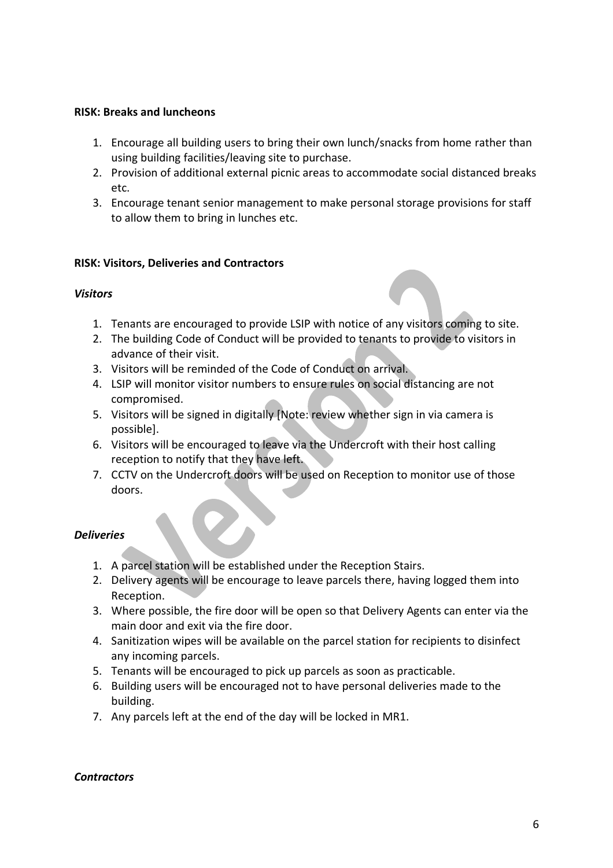#### **RISK: Breaks and luncheons**

- 1. Encourage all building users to bring their own lunch/snacks from home rather than using building facilities/leaving site to purchase.
- 2. Provision of additional external picnic areas to accommodate social distanced breaks etc.
- 3. Encourage tenant senior management to make personal storage provisions for staff to allow them to bring in lunches etc.

#### **RISK: Visitors, Deliveries and Contractors**

#### *Visitors*

- 1. Tenants are encouraged to provide LSIP with notice of any visitors coming to site.
- 2. The building Code of Conduct will be provided to tenants to provide to visitors in advance of their visit.
- 3. Visitors will be reminded of the Code of Conduct on arrival.
- 4. LSIP will monitor visitor numbers to ensure rules on social distancing are not compromised.
- 5. Visitors will be signed in digitally [Note: review whether sign in via camera is possible].
- 6. Visitors will be encouraged to leave via the Undercroft with their host calling reception to notify that they have left.
- 7. CCTV on the Undercroft doors will be used on Reception to monitor use of those doors.

### *Deliveries*

- 1. A parcel station will be established under the Reception Stairs.
- 2. Delivery agents will be encourage to leave parcels there, having logged them into Reception.
- 3. Where possible, the fire door will be open so that Delivery Agents can enter via the main door and exit via the fire door.
- 4. Sanitization wipes will be available on the parcel station for recipients to disinfect any incoming parcels.
- 5. Tenants will be encouraged to pick up parcels as soon as practicable.
- 6. Building users will be encouraged not to have personal deliveries made to the building.
- 7. Any parcels left at the end of the day will be locked in MR1.

#### *Contractors*